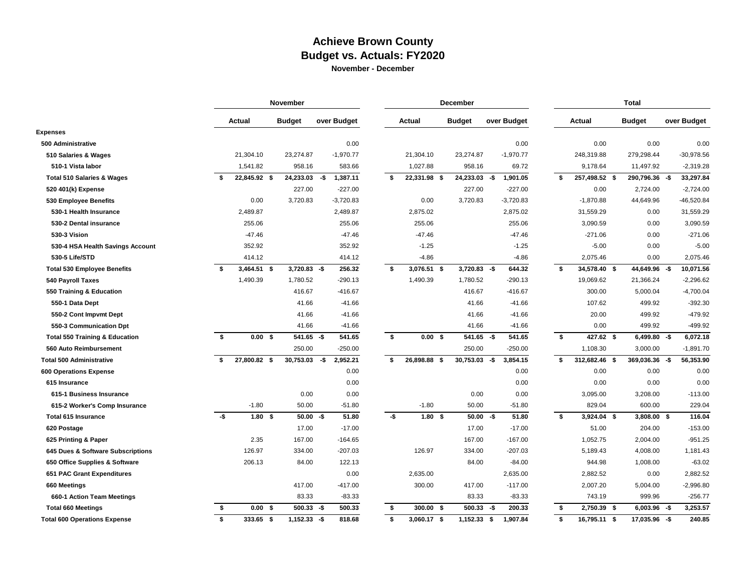## **Achieve Brown County Budget vs. Actuals: FY2020 November - December**

|                                           |      |                   | November       |             |             |     | December          |                 |      | <b>Total</b> |    |               |                |     |              |  |
|-------------------------------------------|------|-------------------|----------------|-------------|-------------|-----|-------------------|-----------------|------|--------------|----|---------------|----------------|-----|--------------|--|
|                                           |      | Actual            | <b>Budget</b>  |             | over Budget |     | Actual            | <b>Budget</b>   |      | over Budget  |    | Actual        | <b>Budget</b>  |     | over Budget  |  |
| <b>Expenses</b>                           |      |                   |                |             |             |     |                   |                 |      |              |    |               |                |     |              |  |
| 500 Administrative                        |      |                   |                |             | 0.00        |     |                   |                 |      | 0.00         |    | 0.00          | 0.00           |     | 0.00         |  |
| 510 Salaries & Wages                      |      | 21,304.10         | 23,274.87      |             | $-1,970.77$ |     | 21,304.10         | 23,274.87       |      | $-1,970.77$  |    | 248,319.88    | 279,298.44     |     | $-30,978.56$ |  |
| 510-1 Vista labor                         |      | 1,541.82          | 958.16         |             | 583.66      |     | 1,027.88          | 958.16          |      | 69.72        |    | 9,178.64      | 11,497.92      |     | $-2,319.28$  |  |
| <b>Total 510 Salaries &amp; Wages</b>     |      | 22,845.92 \$      | 24,233.03      | -\$         | 1,387.11    | \$  | 22,331.98 \$      | $24,233.03 - $$ |      | 1,901.05     | s. | 257,498.52 \$ | 290,796.36 -\$ |     | 33,297.84    |  |
| 520 401(k) Expense                        |      |                   | 227.00         |             | $-227.00$   |     |                   | 227.00          |      | $-227.00$    |    | 0.00          | 2,724.00       |     | $-2,724.00$  |  |
| 530 Employee Benefits                     |      | 0.00              | 3,720.83       |             | $-3,720.83$ |     | 0.00              | 3,720.83        |      | $-3,720.83$  |    | $-1,870.88$   | 44,649.96      |     | $-46,520.84$ |  |
| 530-1 Health Insurance                    |      | 2,489.87          |                |             | 2,489.87    |     | 2,875.02          |                 |      | 2,875.02     |    | 31,559.29     | 0.00           |     | 31,559.29    |  |
| 530-2 Dental insurance                    |      | 255.06            |                |             | 255.06      |     | 255.06            |                 |      | 255.06       |    | 3,090.59      | 0.00           |     | 3,090.59     |  |
| 530-3 Vision                              |      | $-47.46$          |                |             | $-47.46$    |     | $-47.46$          |                 |      | $-47.46$     |    | $-271.06$     | 0.00           |     | $-271.06$    |  |
| 530-4 HSA Health Savings Account          |      | 352.92            |                |             | 352.92      |     | $-1.25$           |                 |      | $-1.25$      |    | $-5.00$       | 0.00           |     | $-5.00$      |  |
| 530-5 Life/STD                            |      | 414.12            |                |             | 414.12      |     | $-4.86$           |                 |      | $-4.86$      |    | 2,075.46      | 0.00           |     | 2,075.46     |  |
| <b>Total 530 Employee Benefits</b>        | s.   | $3,464.51$ \$     | $3,720.83 - $$ |             | 256.32      | s.  | 3,076.51 \$       | $3,720.83 - $$  |      | 644.32       | \$ | 34,578.40 \$  | 44,649.96 -\$  |     | 10,071.56    |  |
| <b>540 Payroll Taxes</b>                  |      | 1,490.39          | 1,780.52       |             | $-290.13$   |     | 1,490.39          | 1,780.52        |      | $-290.13$    |    | 19,069.62     | 21,366.24      |     | $-2,296.62$  |  |
| 550 Training & Education                  |      |                   | 416.67         |             | $-416.67$   |     |                   | 416.67          |      | $-416.67$    |    | 300.00        | 5,000.04       |     | $-4,700.04$  |  |
| 550-1 Data Dept                           |      |                   | 41.66          |             | $-41.66$    |     |                   | 41.66           |      | $-41.66$     |    | 107.62        | 499.92         |     | $-392.30$    |  |
| 550-2 Cont Impvmt Dept                    |      |                   | 41.66          |             | $-41.66$    |     |                   | 41.66           |      | $-41.66$     |    | 20.00         | 499.92         |     | -479.92      |  |
| 550-3 Communication Dpt                   |      |                   | 41.66          |             | $-41.66$    |     |                   | 41.66           |      | $-41.66$     |    | 0.00          | 499.92         |     | -499.92      |  |
| <b>Total 550 Training &amp; Education</b> | s.   | 0.00 <sup>5</sup> | $541.65 - $$   |             | 541.65      | s.  | 0.00 <sup>5</sup> | $541.65 - $$    |      | 541.65       | s. | 427.62 \$     | $6,499.80 - $$ |     | 6,072.18     |  |
| 560 Auto Reimbursement                    |      |                   | 250.00         |             | $-250.00$   |     |                   | 250.00          |      | $-250.00$    |    | 1,108.30      | 3,000.00       |     | $-1,891.70$  |  |
| <b>Total 500 Administrative</b>           | \$   | 27,800.82 \$      | 30,753.03      | -\$         | 2,952.21    | \$  | 26,898.88 \$      | 30,753.03       | -\$  | 3,854.15     | s. | 312,682.46 \$ | 369,036.36     | -\$ | 56,353.90    |  |
| <b>600 Operations Expense</b>             |      |                   |                |             | 0.00        |     |                   |                 |      | 0.00         |    | 0.00          | 0.00           |     | 0.00         |  |
| 615 Insurance                             |      |                   |                |             | 0.00        |     |                   |                 |      | 0.00         |    | 0.00          | 0.00           |     | 0.00         |  |
| 615-1 Business Insurance                  |      |                   | 0.00           |             | 0.00        |     |                   | 0.00            |      | 0.00         |    | 3,095.00      | 3,208.00       |     | $-113.00$    |  |
| 615-2 Worker's Comp Insurance             |      | $-1.80$           | 50.00          |             | $-51.80$    |     | $-1.80$           | 50.00           |      | $-51.80$     |    | 829.04        | 600.00         |     | 229.04       |  |
| <b>Total 615 Insurance</b>                | $-5$ | 1.80 <sup>5</sup> |                | $50.00 - $$ | 51.80       | -\$ | 1.80 <sup>5</sup> | $50.00 - $$     |      | 51.80        | \$ | $3,924.04$ \$ | 3,808.00 \$    |     | 116.04       |  |
| 620 Postage                               |      |                   | 17.00          |             | $-17.00$    |     |                   | 17.00           |      | $-17.00$     |    | 51.00         | 204.00         |     | $-153.00$    |  |
| 625 Printing & Paper                      |      | 2.35              | 167.00         |             | $-164.65$   |     |                   | 167.00          |      | $-167.00$    |    | 1,052.75      | 2,004.00       |     | $-951.25$    |  |
| 645 Dues & Software Subscriptions         |      | 126.97            | 334.00         |             | $-207.03$   |     | 126.97            | 334.00          |      | $-207.03$    |    | 5,189.43      | 4,008.00       |     | 1,181.43     |  |
| 650 Office Supplies & Software            |      | 206.13            | 84.00          |             | 122.13      |     |                   | 84.00           |      | $-84.00$     |    | 944.98        | 1,008.00       |     | $-63.02$     |  |
| 651 PAC Grant Expenditures                |      |                   |                |             | 0.00        |     | 2,635.00          |                 |      | 2,635.00     |    | 2,882.52      | 0.00           |     | 2,882.52     |  |
| 660 Meetings                              |      |                   | 417.00         |             | $-417.00$   |     | 300.00            | 417.00          |      | $-117.00$    |    | 2,007.20      | 5,004.00       |     | $-2,996.80$  |  |
| 660-1 Action Team Meetings                |      |                   | 83.33          |             | $-83.33$    |     |                   | 83.33           |      | $-83.33$     |    | 743.19        | 999.96         |     | $-256.77$    |  |
| <b>Total 660 Meetings</b>                 | \$   | 0.00 S            | 500.33         | -\$         | 500.33      | Ŝ.  | 300.00 \$         | 500.33          | $-5$ | 200.33       | \$ | 2,750.39 \$   | 6,003.96       | -\$ | 3,253.57     |  |
| <b>Total 600 Operations Expense</b>       | s.   | 333.65 \$         | $1,152.33 - $$ |             | 818.68      | \$  | 3,060.17 \$       | $1,152.33$ \$   |      | 1,907.84     | \$ | 16,795.11 \$  | 17,035.96 -\$  |     | 240.85       |  |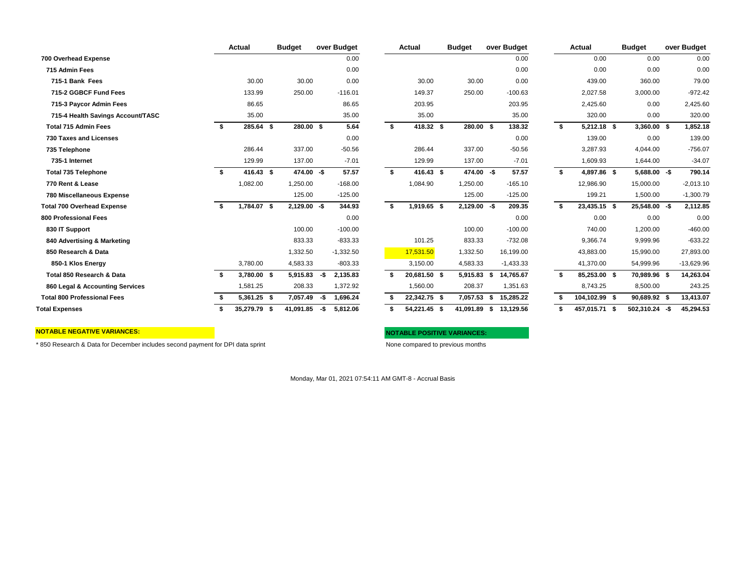|                                    |      | Actual            | <b>Budget</b>  |     | over Budget |     | Actual       | Budget         |      | over Budget |    | Actual        | Budget         |     | over Budget  |
|------------------------------------|------|-------------------|----------------|-----|-------------|-----|--------------|----------------|------|-------------|----|---------------|----------------|-----|--------------|
| 700 Overhead Expense               |      |                   |                |     | 0.00        |     |              |                |      | 0.00        |    | 0.00          | 0.00           |     | 0.00         |
| 715 Admin Fees                     |      |                   |                |     | 0.00        |     |              |                |      | 0.00        |    | 0.00          | 0.00           |     | 0.00         |
| 715-1 Bank Fees                    |      | 30.00             | 30.00          |     | 0.00        |     | 30.00        | 30.00          |      | 0.00        |    | 439.00        | 360.00         |     | 79.00        |
| 715-2 GGBCF Fund Fees              |      | 133.99            | 250.00         |     | $-116.01$   |     | 149.37       | 250.00         |      | $-100.63$   |    | 2,027.58      | 3,000.00       |     | $-972.42$    |
| 715-3 Paycor Admin Fees            |      | 86.65             |                |     | 86.65       |     | 203.95       |                |      | 203.95      |    | 2,425.60      | 0.00           |     | 2,425.60     |
| 715-4 Health Savings Account/TASC  |      | 35.00             |                |     | 35.00       |     | 35.00        |                |      | 35.00       |    | 320.00        | 0.00           |     | 320.00       |
| <b>Total 715 Admin Fees</b>        | - \$ | 285.64 \$         | 280.00 \$      |     | 5.64        | \$  | 418.32 \$    | 280.00 \$      |      | 138.32      | \$ | 5,212.18 \$   | $3,360.00$ \$  |     | 1,852.18     |
| <b>730 Taxes and Licenses</b>      |      |                   |                |     | 0.00        |     |              |                |      | 0.00        |    | 139.00        | 0.00           |     | 139.00       |
| 735 Telephone                      |      | 286.44            | 337.00         |     | $-50.56$    |     | 286.44       | 337.00         |      | $-50.56$    |    | 3,287.93      | 4,044.00       |     | $-756.07$    |
| 735-1 Internet                     |      | 129.99            | 137.00         |     | $-7.01$     |     | 129.99       | 137.00         |      | $-7.01$     |    | 1,609.93      | 1,644.00       |     | $-34.07$     |
| <b>Total 735 Telephone</b>         | - \$ | 416.43 \$         | 474.00 -\$     |     | 57.57       | -\$ | 416.43 \$    | 474.00 -\$     |      | 57.57       | \$ | 4,897.86 \$   | $5,688.00 - $$ |     | 790.14       |
| 770 Rent & Lease                   |      | 1,082.00          | 1,250.00       |     | $-168.00$   |     | 1,084.90     | 1,250.00       |      | $-165.10$   |    | 12,986.90     | 15,000.00      |     | $-2,013.10$  |
| 780 Miscellaneous Expense          |      |                   | 125.00         |     | $-125.00$   |     |              | 125.00         |      | $-125.00$   |    | 199.21        | 1,500.00       |     | $-1,300.79$  |
| <b>Total 700 Overhead Expense</b>  | - \$ | 1,784.07 \$       | $2,129.00 - $$ |     | 344.93      | -\$ | 1,919.65 \$  | $2,129.00 - $$ |      | 209.35      | S. | 23,435.15 \$  | 25,548.00 -\$  |     | 2,112.85     |
| <b>800 Professional Fees</b>       |      |                   |                |     | 0.00        |     |              |                |      | 0.00        |    | 0.00          | 0.00           |     | 0.00         |
| 830 IT Support                     |      |                   | 100.00         |     | $-100.00$   |     |              | 100.00         |      | $-100.00$   |    | 740.00        | 1,200.00       |     | $-460.00$    |
| 840 Advertising & Marketing        |      |                   | 833.33         |     | $-833.33$   |     | 101.25       | 833.33         |      | $-732.08$   |    | 9,366.74      | 9,999.96       |     | $-633.22$    |
| 850 Research & Data                |      |                   | 1,332.50       |     | $-1,332.50$ |     | 17,531.50    | 1,332.50       |      | 16,199.00   |    | 43,883.00     | 15,990.00      |     | 27,893.00    |
| 850-1 Klos Energy                  |      | 3,780.00          | 4,583.33       |     | $-803.33$   |     | 3,150.00     | 4,583.33       |      | $-1,433.33$ |    | 41,370.00     | 54,999.96      |     | $-13,629.96$ |
| Total 850 Research & Data          | - \$ | 3,780.00 \$       | 5,915.83       | -\$ | 2,135.83    | S.  | 20,681.50 \$ | 5,915.83       | S    | 14,765.67   | S. | 85,253.00 \$  | 70,989.96 \$   |     | 14,263.04    |
| 860 Legal & Accounting Services    |      | 1,581.25          | 208.33         |     | 1,372.92    |     | 1,560.00     | 208.37         |      | 1,351.63    |    | 8,743.25      | 8,500.00       |     | 243.25       |
| <b>Total 800 Professional Fees</b> |      | 5,361.25 \$       | 7,057.49       | -\$ | 1,696.24    |     | 22,342.75 \$ | 7,057.53       | - \$ | 15,285.22   |    | 104,102.99 \$ | 90,689.92 \$   |     | 13,413.07    |
| <b>Total Expenses</b>              |      | 35,279.79<br>- \$ | 41,091.85      | -\$ | 5.812.06    | \$  | 54,221.45 \$ | 41,091.89      | - \$ | 13,129.56   |    | 457.015.71 \$ | 502.310.24     | -\$ | 45,294.53    |

| Actual       | <b>Budget</b>  |     | over Budget |     | Actual       |     | <b>Budget</b> |     | over Budget |      | Actual        | <b>Budget</b>   | over Budget |
|--------------|----------------|-----|-------------|-----|--------------|-----|---------------|-----|-------------|------|---------------|-----------------|-------------|
|              |                |     | 0.00        |     |              |     |               |     | 0.00        |      | 0.00          | 0.00            | 0.0         |
|              |                |     | 0.00        |     |              |     |               |     | 0.00        |      | 0.00          | 0.00            | 0.0         |
| 30.00        | 30.00          |     | 0.00        |     | 30.00        |     | 30.00         |     | 0.00        |      | 439.00        | 360.00          | 79.0        |
| 133.99       | 250.00         |     | $-116.01$   |     | 149.37       |     | 250.00        |     | $-100.63$   |      | 2,027.58      | 3,000.00        | $-972.4$    |
| 86.65        |                |     | 86.65       |     | 203.95       |     |               |     | 203.95      |      | 2,425.60      | 0.00            | 2,425.6     |
| 35.00        |                |     | 35.00       |     | 35.00        |     |               |     | 35.00       |      | 320.00        | 0.00            | 320.0       |
| 285.64 \$    | 280.00 \$      |     | 5.64        | \$  | 418.32 \$    |     | 280.00 \$     |     | 138.32      | \$   | $5,212.18$ \$ | $3,360.00$ \$   | 1,852.1     |
|              |                |     | 0.00        |     |              |     |               |     | 0.00        |      | 139.00        | 0.00            | 139.0       |
| 286.44       | 337.00         |     | $-50.56$    |     | 286.44       |     | 337.00        |     | $-50.56$    |      | 3,287.93      | 4,044.00        | $-756.0$    |
| 129.99       | 137.00         |     | $-7.01$     |     | 129.99       |     | 137.00        |     | $-7.01$     |      | 1,609.93      | 1,644.00        | $-34.0$     |
| 416.43 \$    | 474.00 -\$     |     | 57.57       | \$  | 416.43       | -\$ | 474.00        | -\$ | 57.57       | \$   | 4,897.86 \$   | $5,688.00 - $$  | 790.1       |
| 1,082.00     | 1.250.00       |     | $-168.00$   |     | 1,084.90     |     | 1,250.00      |     | $-165.10$   |      | 12,986.90     | 15.000.00       | $-2,013.1$  |
|              | 125.00         |     | $-125.00$   |     |              |     | 125.00        |     | $-125.00$   |      | 199.21        | 1,500.00        | $-1,300.7$  |
| 1,784.07 \$  | $2,129.00 - $$ |     | 344.93      | -\$ | 1,919.65 \$  |     | 2,129.00      | -\$ | 209.35      | - \$ | 23,435.15 \$  | 25,548.00 -\$   | 2,112.8     |
|              |                |     | 0.00        |     |              |     |               |     | 0.00        |      | 0.00          | 0.00            | 0.0         |
|              | 100.00         |     | $-100.00$   |     |              |     | 100.00        |     | $-100.00$   |      | 740.00        | 1,200.00        | $-460.0$    |
|              | 833.33         |     | $-833.33$   |     | 101.25       |     | 833.33        |     | $-732.08$   |      | 9,366.74      | 9,999.96        | $-633.2$    |
|              | 1,332.50       |     | $-1,332.50$ |     | 17,531.50    |     | 1,332.50      |     | 16,199.00   |      | 43,883.00     | 15,990.00       | 27,893.0    |
| 3,780.00     | 4,583.33       |     | $-803.33$   |     | 3,150.00     |     | 4,583.33      |     | $-1,433.33$ |      | 41,370.00     | 54,999.96       | $-13,629.9$ |
| 3,780.00 \$  | 5,915.83       | -\$ | 2,135.83    | \$  | 20,681.50 \$ |     | 5,915.83 \$   |     | 14,765.67   | -\$  | 85,253.00 \$  | 70,989.96 \$    | 14,263.0    |
| 1,581.25     | 208.33         |     | 1,372.92    |     | 1,560.00     |     | 208.37        |     | 1,351.63    |      | 8,743.25      | 8,500.00        | 243.2       |
| 5,361.25 \$  | 7,057.49       | -\$ | 1,696.24    | \$  | 22,342.75 \$ |     | 7,057.53      | £.  | 15,285.22   | \$   | 104,102.99 \$ | 90,689.92 \$    | 13,413.0    |
| 35 279 79 \$ | 41 091 85      | -\$ | 581206      | \$  | $5422145$ \$ |     | 41 091 89     | \$  | 13 129 56   | \$.  | 457 015 71 \$ | $50231024 -$ \$ | 45 294 5    |

### **NOTABLE NEGATIVE VARIANCES: NOTABLE POSITIVE VARIANCES:**

\* 850 Research & Data for December includes second payment for DPI data sprint None compared to previous months

Monday, Mar 01, 2021 07:54:11 AM GMT-8 - Accrual Basis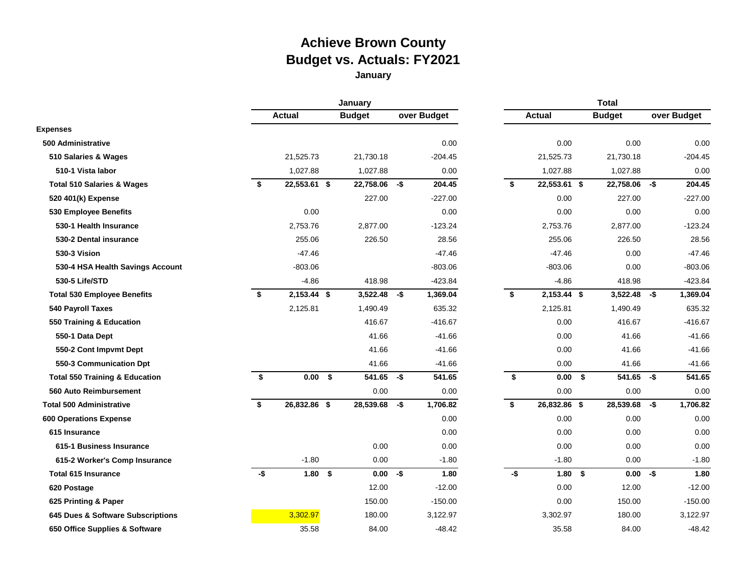# **Achieve Brown County Budget vs. Actuals: FY2021**

# **January**

|                                           |     |                   | January       |     |             | <b>Total</b> |               |      |                |     |             |  |  |  |  |  |
|-------------------------------------------|-----|-------------------|---------------|-----|-------------|--------------|---------------|------|----------------|-----|-------------|--|--|--|--|--|
|                                           |     | <b>Actual</b>     | <b>Budget</b> |     | over Budget |              | <b>Actual</b> |      | <b>Budget</b>  |     | over Budget |  |  |  |  |  |
| <b>Expenses</b>                           |     |                   |               |     |             |              |               |      |                |     |             |  |  |  |  |  |
| 500 Administrative                        |     |                   |               |     | 0.00        |              | 0.00          |      | 0.00           |     | 0.00        |  |  |  |  |  |
| 510 Salaries & Wages                      |     | 21,525.73         | 21,730.18     |     | $-204.45$   |              | 21,525.73     |      | 21,730.18      |     | $-204.45$   |  |  |  |  |  |
| 510-1 Vista labor                         |     | 1,027.88          | 1,027.88      |     | 0.00        |              | 1,027.88      |      | 1,027.88       |     | 0.00        |  |  |  |  |  |
| <b>Total 510 Salaries &amp; Wages</b>     | \$  | 22,553.61 \$      | 22,758.06 -\$ |     | 204.45      | \$           | 22,553.61 \$  |      | 22,758.06 -\$  |     | 204.45      |  |  |  |  |  |
| 520 401(k) Expense                        |     |                   | 227.00        |     | $-227.00$   |              | 0.00          |      | 227.00         |     | $-227.00$   |  |  |  |  |  |
| 530 Employee Benefits                     |     | 0.00              |               |     | 0.00        |              | 0.00          |      | 0.00           |     | 0.00        |  |  |  |  |  |
| 530-1 Health Insurance                    |     | 2,753.76          | 2,877.00      |     | $-123.24$   |              | 2,753.76      |      | 2,877.00       |     | $-123.24$   |  |  |  |  |  |
| 530-2 Dental insurance                    |     | 255.06            | 226.50        |     | 28.56       |              | 255.06        |      | 226.50         |     | 28.56       |  |  |  |  |  |
| 530-3 Vision                              |     | $-47.46$          |               |     | $-47.46$    |              | $-47.46$      |      | 0.00           |     | $-47.46$    |  |  |  |  |  |
| 530-4 HSA Health Savings Account          |     | $-803.06$         |               |     | $-803.06$   |              | $-803.06$     |      | 0.00           |     | $-803.06$   |  |  |  |  |  |
| 530-5 Life/STD                            |     | $-4.86$           | 418.98        |     | $-423.84$   |              | $-4.86$       |      | 418.98         |     | $-423.84$   |  |  |  |  |  |
| <b>Total 530 Employee Benefits</b>        | \$  | 2,153.44 \$       | 3,522.48      | -\$ | 1,369.04    | \$           | 2,153.44 \$   |      | $3,522.48 - $$ |     | 1,369.04    |  |  |  |  |  |
| 540 Payroll Taxes                         |     | 2,125.81          | 1,490.49      |     | 635.32      |              | 2,125.81      |      | 1,490.49       |     | 635.32      |  |  |  |  |  |
| 550 Training & Education                  |     |                   | 416.67        |     | $-416.67$   |              | 0.00          |      | 416.67         |     | $-416.67$   |  |  |  |  |  |
| 550-1 Data Dept                           |     |                   | 41.66         |     | $-41.66$    |              | 0.00          |      | 41.66          |     | $-41.66$    |  |  |  |  |  |
| 550-2 Cont Impvmt Dept                    |     |                   | 41.66         |     | $-41.66$    |              | 0.00          |      | 41.66          |     | $-41.66$    |  |  |  |  |  |
| 550-3 Communication Dpt                   |     |                   | 41.66         |     | $-41.66$    |              | 0.00          |      | 41.66          |     | $-41.66$    |  |  |  |  |  |
| <b>Total 550 Training &amp; Education</b> | \$  | 0.00 <sup>5</sup> | 541.65        | -\$ | 541.65      | \$           | 0.00          | \$   | 541.65         | -\$ | 541.65      |  |  |  |  |  |
| <b>560 Auto Reimbursement</b>             |     |                   | 0.00          |     | 0.00        |              | 0.00          |      | 0.00           |     | 0.00        |  |  |  |  |  |
| <b>Total 500 Administrative</b>           | \$  | 26,832.86 \$      | 28,539.68     | -\$ | 1,706.82    | \$           | 26,832.86 \$  |      | 28,539.68      | -\$ | 1,706.82    |  |  |  |  |  |
| <b>600 Operations Expense</b>             |     |                   |               |     | 0.00        |              | 0.00          |      | 0.00           |     | 0.00        |  |  |  |  |  |
| 615 Insurance                             |     |                   |               |     | 0.00        |              | 0.00          |      | 0.00           |     | 0.00        |  |  |  |  |  |
| 615-1 Business Insurance                  |     |                   | 0.00          |     | 0.00        |              | 0.00          |      | 0.00           |     | 0.00        |  |  |  |  |  |
| 615-2 Worker's Comp Insurance             |     | $-1.80$           | 0.00          |     | $-1.80$     |              | $-1.80$       |      | 0.00           |     | $-1.80$     |  |  |  |  |  |
| <b>Total 615 Insurance</b>                | -\$ | $1.80$ \$         | 0.00          | -\$ | 1.80        | $-5$         | 1.80          | - \$ | $0.00 - $$     |     | 1.80        |  |  |  |  |  |
| 620 Postage                               |     |                   | 12.00         |     | $-12.00$    |              | 0.00          |      | 12.00          |     | $-12.00$    |  |  |  |  |  |
| 625 Printing & Paper                      |     |                   | 150.00        |     | $-150.00$   |              | 0.00          |      | 150.00         |     | $-150.00$   |  |  |  |  |  |
| 645 Dues & Software Subscriptions         |     | 3,302.97          | 180.00        |     | 3,122.97    |              | 3,302.97      |      | 180.00         |     | 3,122.97    |  |  |  |  |  |
| 650 Office Supplies & Software            |     | 35.58             | 84.00         |     | $-48.42$    |              | 35.58         |      | 84.00          |     | $-48.42$    |  |  |  |  |  |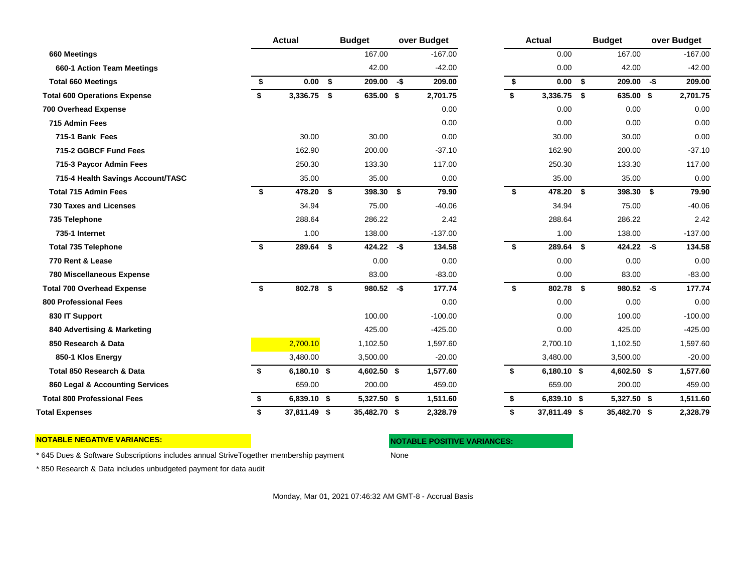|                                     |    | <b>Actual</b>  | <b>Budget</b>   |     | over Budget | <b>Actual</b> |              |    | <b>Budget</b> | over Budget |           |  |
|-------------------------------------|----|----------------|-----------------|-----|-------------|---------------|--------------|----|---------------|-------------|-----------|--|
| 660 Meetings                        |    |                | 167.00          |     | $-167.00$   |               | 0.00         |    | 167.00        |             | $-167.00$ |  |
| 660-1 Action Team Meetings          |    |                | 42.00           |     | $-42.00$    |               | 0.00         |    | 42.00         |             | $-42.00$  |  |
| <b>Total 660 Meetings</b>           | \$ | $0.00\quad$ \$ | 209.00          | -\$ | 209.00      | \$            | 0.00 S       |    | 209.00        | -\$         | 209.00    |  |
| <b>Total 600 Operations Expense</b> | Ŝ. | 3,336.75 \$    | 635.00 \$       |     | 2,701.75    | \$            | 3,336.75 \$  |    | 635.00 \$     |             | 2,701.75  |  |
| <b>700 Overhead Expense</b>         |    |                |                 |     | 0.00        |               | 0.00         |    | 0.00          |             | 0.00      |  |
| 715 Admin Fees                      |    |                |                 |     | 0.00        |               | 0.00         |    | 0.00          |             | 0.00      |  |
| 715-1 Bank Fees                     |    | 30.00          | 30.00           |     | 0.00        |               | 30.00        |    | 30.00         |             | 0.00      |  |
| 715-2 GGBCF Fund Fees               |    | 162.90         | 200.00          |     | $-37.10$    |               | 162.90       |    | 200.00        |             | $-37.10$  |  |
| 715-3 Paycor Admin Fees             |    | 250.30         | 133.30          |     | 117.00      |               | 250.30       |    | 133.30        |             | 117.00    |  |
| 715-4 Health Savings Account/TASC   |    | 35.00          | 35.00           |     | 0.00        |               | 35.00        |    | 35.00         |             | 0.00      |  |
| <b>Total 715 Admin Fees</b>         | \$ | 478.20         | \$<br>398.30 \$ |     | 79.90       | \$            | 478.20       | \$ | 398.30 \$     |             | 79.90     |  |
| <b>730 Taxes and Licenses</b>       |    | 34.94          | 75.00           |     | $-40.06$    |               | 34.94        |    | 75.00         |             | $-40.06$  |  |
| 735 Telephone                       |    | 288.64         | 286.22          |     | 2.42        |               | 288.64       |    | 286.22        |             | 2.42      |  |
| 735-1 Internet                      |    | 1.00           | 138.00          |     | $-137.00$   |               | 1.00         |    | 138.00        |             | $-137.00$ |  |
| <b>Total 735 Telephone</b>          | \$ | 289.64 \$      | 424.22          | -\$ | 134.58      | \$            | 289.64 \$    |    | 424.22        | -\$         | 134.58    |  |
| 770 Rent & Lease                    |    |                | 0.00            |     | 0.00        |               | 0.00         |    | 0.00          |             | 0.00      |  |
| <b>780 Miscellaneous Expense</b>    |    |                | 83.00           |     | $-83.00$    |               | 0.00         |    | 83.00         |             | $-83.00$  |  |
| <b>Total 700 Overhead Expense</b>   | \$ | 802.78 \$      | 980.52          | -\$ | 177.74      | \$            | 802.78 \$    |    | 980.52        | -\$         | 177.74    |  |
| <b>800 Professional Fees</b>        |    |                |                 |     | 0.00        |               | 0.00         |    | 0.00          |             | 0.00      |  |
| 830 IT Support                      |    |                | 100.00          |     | $-100.00$   |               | 0.00         |    | 100.00        |             | $-100.00$ |  |
| 840 Advertising & Marketing         |    |                | 425.00          |     | $-425.00$   |               | 0.00         |    | 425.00        |             | $-425.00$ |  |
| 850 Research & Data                 |    | 2,700.10       | 1,102.50        |     | 1,597.60    |               | 2,700.10     |    | 1,102.50      |             | 1,597.60  |  |
| 850-1 Klos Energy                   |    | 3,480.00       | 3,500.00        |     | $-20.00$    |               | 3,480.00     |    | 3,500.00      |             | $-20.00$  |  |
| Total 850 Research & Data           | \$ | 6,180.10 \$    | 4,602.50 \$     |     | 1,577.60    | \$            | 6,180.10 \$  |    | 4,602.50 \$   |             | 1,577.60  |  |
| 860 Legal & Accounting Services     |    | 659.00         | 200.00          |     | 459.00      |               | 659.00       |    | 200.00        |             | 459.00    |  |
| <b>Total 800 Professional Fees</b>  | \$ | 6,839.10 \$    | 5,327.50 \$     |     | 1,511.60    | \$            | 6,839.10 \$  |    | 5,327.50 \$   |             | 1,511.60  |  |
| <b>Total Expenses</b>               | \$ | 37,811.49 \$   | 35,482.70 \$    |     | 2,328.79    | \$            | 37,811.49 \$ |    | 35,482.70 \$  |             | 2,328.79  |  |

**NOTABLE NEGATIVE VARIANCES: NOTABLE POSITIVE VARIANCES:**

\* 645 Dues & Software Subscriptions includes annual StriveTogether membership payment None

\* 850 Research & Data includes unbudgeted payment for data audit

Monday, Mar 01, 2021 07:46:32 AM GMT-8 - Accrual Basis